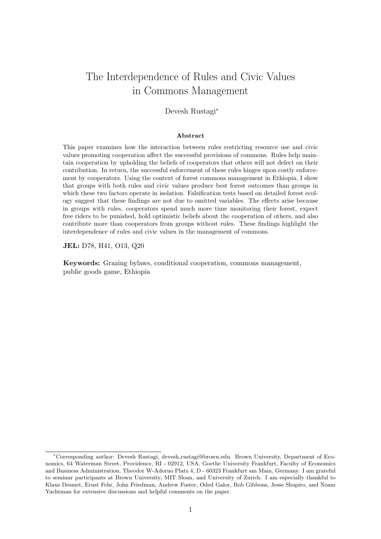# The Interdependence of Rules and Civic Values in Commons Management

### Devesh Rustagi<sup>∗</sup>

#### Abstract

This paper examines how the interaction between rules restricting resource use and civic values promoting cooperation affect the successful provisions of commons. Rules help maintain cooperation by upholding the beliefs of cooperators that others will not defect on their contribution. In return, the successful enforcement of these rules hinges upon costly enforcement by cooperators. Using the context of forest commons management in Ethiopia, I show that groups with both rules and civic values produce best forest outcomes than groups in which these two factors operate in isolation. Falsification tests based on detailed forest ecology suggest that these findings are not due to omitted variables. The effects arise because in groups with rules, cooperators spend much more time monitoring their forest, expect free riders to be punished, hold optimistic beliefs about the cooperation of others, and also contribute more than cooperators from groups without rules. These findings highlight the interdependence of rules and civic values in the management of commons.

JEL: D78, H41, O13, Q20

Keywords: Grazing bylaws, conditional cooperation, commons management, public goods game, Ethiopia

<sup>∗</sup>Corresponding author: Devesh Rustagi, devesh rustagi@brown.edu. Brown University, Department of Economics, 64 Waterman Street, Providence, RI - 02912, USA. Goethe University Frankfurt, Faculty of Economics and Business Administration, Theodor W-Adorno Platz 4, D - 60323 Frankfurt am Main, Germany. I am grateful to seminar participants at Brown University, MIT Sloan, and University of Zurich. I am especially thankful to Klaus Desmet, Ernst Fehr, John Friedman, Andrew Foster, Oded Galor, Bob Gibbons, Jesse Shapiro, and Noam Yuchtman for extensive discussions and helpful comments on the paper.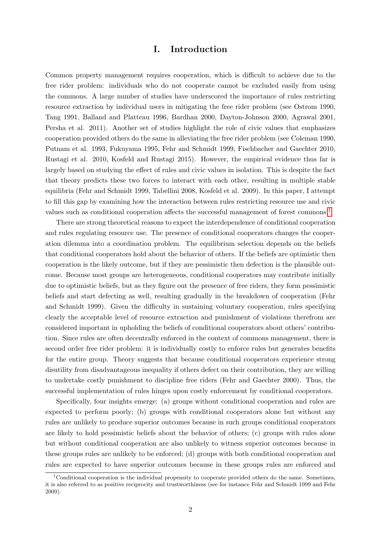## I. Introduction

Common property management requires cooperation, which is difficult to achieve due to the free rider problem: individuals who do not cooperate cannot be excluded easily from using the commons. A large number of studies have underscored the importance of rules restricting resource extraction by individual users in mitigating the free rider problem (see Ostrom 1990, Tang 1991, Balland and Platteau 1996, Bardhan 2000, Dayton-Johnson 2000, Agrawal 2001, Persha et al. 2011). Another set of studies highlight the role of civic values that emphasizes cooperation provided others do the same in alleviating the free rider problem (see Coleman 1990, Putnam et al. 1993, Fukuyama 1995, Fehr and Schmidt 1999, Fischbacher and Gaechter 2010, Rustagi et al. 2010, Kosfeld and Rustagi 2015). However, the empirical evidence thus far is largely based on studying the effect of rules and civic values in isolation. This is despite the fact that theory predicts these two forces to interact with each other, resulting in multiple stable equilibria (Fehr and Schmidt 1999, Tabellini 2008, Kosfeld et al. 2009). In this paper, I attempt to fill this gap by examining how the interaction between rules restricting resource use and civic values such as conditional cooperation affects the successful management of forest commons.[1](#page-1-0)

There are strong theoretical reasons to expect the interdependence of conditional cooperation and rules regulating resource use. The presence of conditional cooperators changes the cooperation dilemma into a coordination problem. The equilibrium selection depends on the beliefs that conditional cooperators hold about the behavior of others. If the beliefs are optimistic then cooperation is the likely outcome, but if they are pessimistic then defection is the plausible outcome. Because most groups are heterogeneous, conditional cooperators may contribute initially due to optimistic beliefs, but as they figure out the presence of free riders, they form pessimistic beliefs and start defecting as well, resulting gradually in the breakdown of cooperation (Fehr and Schmidt 1999). Given the difficulty in sustaining voluntary cooperation, rules specifying clearly the acceptable level of resource extraction and punishment of violations therefrom are considered important in upholding the beliefs of conditional cooperators about others' contribution. Since rules are often decentrally enforced in the context of commons management, there is second order free rider problem: it is individually costly to enforce rules but generates benefits for the entire group. Theory suggests that because conditional cooperators experience strong disutility from disadvantageous inequality if others defect on their contribution, they are willing to undertake costly punishment to discipline free riders (Fehr and Gaechter 2000). Thus, the successful implementation of rules hinges upon costly enforcement by conditional cooperators.

Specifically, four insights emerge: (a) groups without conditional cooperation and rules are expected to perform poorly; (b) groups with conditional cooperators alone but without any rules are unlikely to produce superior outcomes because in such groups conditional cooperators are likely to hold pessimistic beliefs about the behavior of others; (c) groups with rules alone but without conditional cooperation are also unlikely to witness superior outcomes because in these groups rules are unlikely to be enforced; (d) groups with both conditional cooperation and rules are expected to have superior outcomes because in these groups rules are enforced and

<span id="page-1-0"></span><sup>&</sup>lt;sup>1</sup>Conditional cooperation is the individual propensity to cooperate provided others do the same. Sometimes, it is also referred to as positive reciprocity and trustworthiness (see for instance Fehr and Schmidt 1999 and Fehr 2009).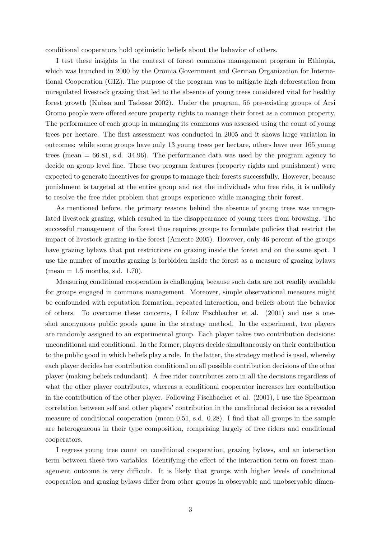conditional cooperators hold optimistic beliefs about the behavior of others.

I test these insights in the context of forest commons management program in Ethiopia, which was launched in 2000 by the Oromia Government and German Organization for International Cooperation (GIZ). The purpose of the program was to mitigate high deforestation from unregulated livestock grazing that led to the absence of young trees considered vital for healthy forest growth (Kubsa and Tadesse 2002). Under the program, 56 pre-existing groups of Arsi Oromo people were offered secure property rights to manage their forest as a common property. The performance of each group in managing its commons was assessed using the count of young trees per hectare. The first assessment was conducted in 2005 and it shows large variation in outcomes: while some groups have only 13 young trees per hectare, others have over 165 young trees (mean = 66.81, s.d. 34.96). The performance data was used by the program agency to decide on group level fine. These two program features (property rights and punishment) were expected to generate incentives for groups to manage their forests successfully. However, because punishment is targeted at the entire group and not the individuals who free ride, it is unlikely to resolve the free rider problem that groups experience while managing their forest.

As mentioned before, the primary reasons behind the absence of young trees was unregulated livestock grazing, which resulted in the disappearance of young trees from browsing. The successful management of the forest thus requires groups to formulate policies that restrict the impact of livestock grazing in the forest (Amente 2005). However, only 46 percent of the groups have grazing bylaws that put restrictions on grazing inside the forest and on the same spot. I use the number of months grazing is forbidden inside the forest as a measure of grazing bylaws  $(mean = 1.5 months, s.d. 1.70).$ 

Measuring conditional cooperation is challenging because such data are not readily available for groups engaged in commons management. Moreover, simple observational measures might be confounded with reputation formation, repeated interaction, and beliefs about the behavior of others. To overcome these concerns, I follow Fischbacher et al. (2001) and use a oneshot anonymous public goods game in the strategy method. In the experiment, two players are randomly assigned to an experimental group. Each player takes two contribution decisions: unconditional and conditional. In the former, players decide simultaneously on their contribution to the public good in which beliefs play a role. In the latter, the strategy method is used, whereby each player decides her contribution conditional on all possible contribution decisions of the other player (making beliefs redundant). A free rider contributes zero in all the decisions regardless of what the other player contributes, whereas a conditional cooperator increases her contribution in the contribution of the other player. Following Fischbacher et al. (2001), I use the Spearman correlation between self and other players' contribution in the conditional decision as a revealed measure of conditional cooperation (mean 0.51, s.d. 0.28). I find that all groups in the sample are heterogeneous in their type composition, comprising largely of free riders and conditional cooperators.

I regress young tree count on conditional cooperation, grazing bylaws, and an interaction term between these two variables. Identifying the effect of the interaction term on forest management outcome is very difficult. It is likely that groups with higher levels of conditional cooperation and grazing bylaws differ from other groups in observable and unobservable dimen-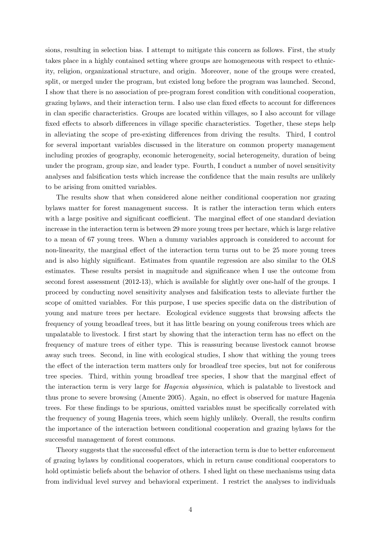sions, resulting in selection bias. I attempt to mitigate this concern as follows. First, the study takes place in a highly contained setting where groups are homogeneous with respect to ethnicity, religion, organizational structure, and origin. Moreover, none of the groups were created, split, or merged under the program, but existed long before the program was launched. Second, I show that there is no association of pre-program forest condition with conditional cooperation, grazing bylaws, and their interaction term. I also use clan fixed effects to account for differences in clan specific characteristics. Groups are located within villages, so I also account for village fixed effects to absorb differences in village specific characteristics. Together, these steps help in alleviating the scope of pre-existing differences from driving the results. Third, I control for several important variables discussed in the literature on common property management including proxies of geography, economic heterogeneity, social heterogeneity, duration of being under the program, group size, and leader type. Fourth, I conduct a number of novel sensitivity analyses and falsification tests which increase the confidence that the main results are unlikely to be arising from omitted variables.

The results show that when considered alone neither conditional cooperation nor grazing bylaws matter for forest management success. It is rather the interaction term which enters with a large positive and significant coefficient. The marginal effect of one standard deviation increase in the interaction term is between 29 more young trees per hectare, which is large relative to a mean of 67 young trees. When a dummy variables approach is considered to account for non-linearity, the marginal effect of the interaction term turns out to be 25 more young trees and is also highly significant. Estimates from quantile regression are also similar to the OLS estimates. These results persist in magnitude and significance when I use the outcome from second forest assessment (2012-13), which is available for slightly over one-half of the groups. I proceed by conducting novel sensitivity analyses and falsification tests to alleviate further the scope of omitted variables. For this purpose, I use species specific data on the distribution of young and mature trees per hectare. Ecological evidence suggests that browsing affects the frequency of young broadleaf trees, but it has little bearing on young coniferous trees which are unpalatable to livestock. I first start by showing that the interaction term has no effect on the frequency of mature trees of either type. This is reassuring because livestock cannot browse away such trees. Second, in line with ecological studies, I show that withing the young trees the effect of the interaction term matters only for broadleaf tree species, but not for coniferous tree species. Third, within young broadleaf tree species, I show that the marginal effect of the interaction term is very large for Hagenia abyssinica, which is palatable to livestock and thus prone to severe browsing (Amente 2005). Again, no effect is observed for mature Hagenia trees. For these findings to be spurious, omitted variables must be specifically correlated with the frequency of young Hagenia trees, which seem highly unlikely. Overall, the results confirm the importance of the interaction between conditional cooperation and grazing bylaws for the successful management of forest commons.

Theory suggests that the successful effect of the interaction term is due to better enforcement of grazing bylaws by conditional cooperators, which in return cause conditional cooperators to hold optimistic beliefs about the behavior of others. I shed light on these mechanisms using data from individual level survey and behavioral experiment. I restrict the analyses to individuals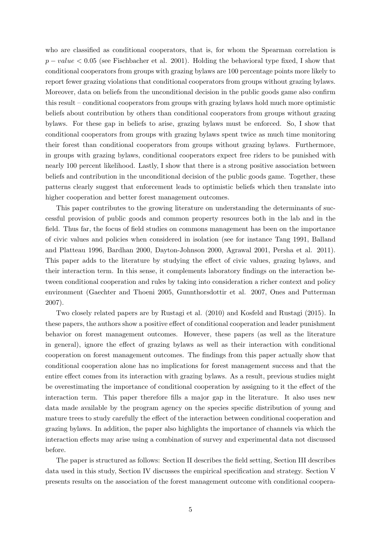who are classified as conditional cooperators, that is, for whom the Spearman correlation is  $p-value < 0.05$  (see Fischbacher et al. 2001). Holding the behavioral type fixed, I show that conditional cooperators from groups with grazing bylaws are 100 percentage points more likely to report fewer grazing violations that conditional cooperators from groups without grazing bylaws. Moreover, data on beliefs from the unconditional decision in the public goods game also confirm this result – conditional cooperators from groups with grazing bylaws hold much more optimistic beliefs about contribution by others than conditional cooperators from groups without grazing bylaws. For these gap in beliefs to arise, grazing bylaws must be enforced. So, I show that conditional cooperators from groups with grazing bylaws spent twice as much time monitoring their forest than conditional cooperators from groups without grazing bylaws. Furthermore, in groups with grazing bylaws, conditional cooperators expect free riders to be punished with nearly 100 percent likelihood. Lastly, I show that there is a strong positive association between beliefs and contribution in the unconditional decision of the public goods game. Together, these patterns clearly suggest that enforcement leads to optimistic beliefs which then translate into higher cooperation and better forest management outcomes.

This paper contributes to the growing literature on understanding the determinants of successful provision of public goods and common property resources both in the lab and in the field. Thus far, the focus of field studies on commons management has been on the importance of civic values and policies when considered in isolation (see for instance Tang 1991, Balland and Platteau 1996, Bardhan 2000, Dayton-Johnson 2000, Agrawal 2001, Persha et al. 2011). This paper adds to the literature by studying the effect of civic values, grazing bylaws, and their interaction term. In this sense, it complements laboratory findings on the interaction between conditional cooperation and rules by taking into consideration a richer context and policy environment (Gaechter and Thoeni 2005, Gunnthorsdottir et al. 2007, Ones and Putterman 2007).

Two closely related papers are by Rustagi et al. (2010) and Kosfeld and Rustagi (2015). In these papers, the authors show a positive effect of conditional cooperation and leader punishment behavior on forest management outcomes. However, these papers (as well as the literature in general), ignore the effect of grazing bylaws as well as their interaction with conditional cooperation on forest management outcomes. The findings from this paper actually show that conditional cooperation alone has no implications for forest management success and that the entire effect comes from its interaction with grazing bylaws. As a result, previous studies might be overestimating the importance of conditional cooperation by assigning to it the effect of the interaction term. This paper therefore fills a major gap in the literature. It also uses new data made available by the program agency on the species specific distribution of young and mature trees to study carefully the effect of the interaction between conditional cooperation and grazing bylaws. In addition, the paper also highlights the importance of channels via which the interaction effects may arise using a combination of survey and experimental data not discussed before.

The paper is structured as follows: Section II describes the field setting, Section III describes data used in this study, Section IV discusses the empirical specification and strategy. Section V presents results on the association of the forest management outcome with conditional coopera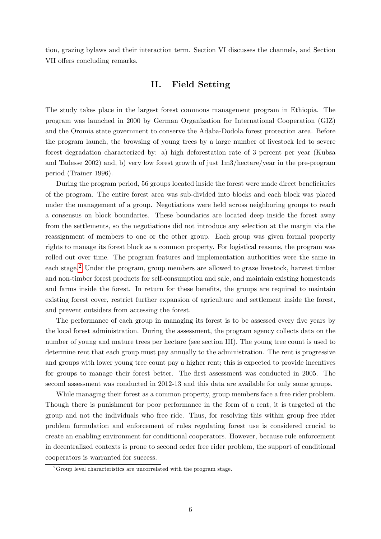tion, grazing bylaws and their interaction term. Section VI discusses the channels, and Section VII offers concluding remarks.

# II. Field Setting

The study takes place in the largest forest commons management program in Ethiopia. The program was launched in 2000 by German Organization for International Cooperation (GIZ) and the Oromia state government to conserve the Adaba-Dodola forest protection area. Before the program launch, the browsing of young trees by a large number of livestock led to severe forest degradation characterized by: a) high deforestation rate of 3 percent per year (Kubsa and Tadesse 2002) and, b) very low forest growth of just 1m3/hectare/year in the pre-program period (Trainer 1996).

During the program period, 56 groups located inside the forest were made direct beneficiaries of the program. The entire forest area was sub-divided into blocks and each block was placed under the management of a group. Negotiations were held across neighboring groups to reach a consensus on block boundaries. These boundaries are located deep inside the forest away from the settlements, so the negotiations did not introduce any selection at the margin via the reassignment of members to one or the other group. Each group was given formal property rights to manage its forest block as a common property. For logistical reasons, the program was rolled out over time. The program features and implementation authorities were the same in each stage.<sup>[2](#page-5-0)</sup> Under the program, group members are allowed to graze livestock, harvest timber and non-timber forest products for self-consumption and sale, and maintain existing homesteads and farms inside the forest. In return for these benefits, the groups are required to maintain existing forest cover, restrict further expansion of agriculture and settlement inside the forest, and prevent outsiders from accessing the forest.

The performance of each group in managing its forest is to be assessed every five years by the local forest administration. During the assessment, the program agency collects data on the number of young and mature trees per hectare (see section III). The young tree count is used to determine rent that each group must pay annually to the administration. The rent is progressive and groups with lower young tree count pay a higher rent; this is expected to provide incentives for groups to manage their forest better. The first assessment was conducted in 2005. The second assessment was conducted in 2012-13 and this data are available for only some groups.

While managing their forest as a common property, group members face a free rider problem. Though there is punishment for poor performance in the form of a rent, it is targeted at the group and not the individuals who free ride. Thus, for resolving this within group free rider problem formulation and enforcement of rules regulating forest use is considered crucial to create an enabling environment for conditional cooperators. However, because rule enforcement in decentralized contexts is prone to second order free rider problem, the support of conditional cooperators is warranted for success.

<span id="page-5-0"></span> ${}^{2}$ Group level characteristics are uncorrelated with the program stage.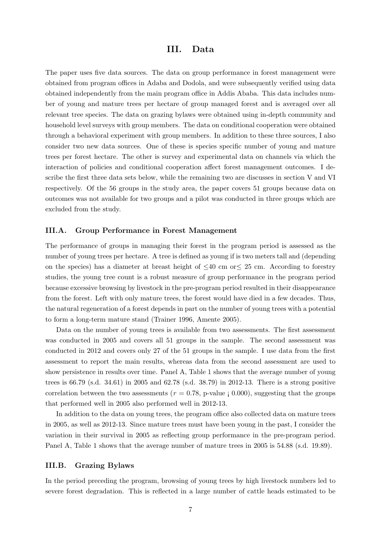## III. Data

The paper uses five data sources. The data on group performance in forest management were obtained from program offices in Adaba and Dodola, and were subsequently verified using data obtained independently from the main program office in Addis Ababa. This data includes number of young and mature trees per hectare of group managed forest and is averaged over all relevant tree species. The data on grazing bylaws were obtained using in-depth community and household level surveys with group members. The data on conditional cooperation were obtained through a behavioral experiment with group members. In addition to these three sources, I also consider two new data sources. One of these is species specific number of young and mature trees per forest hectare. The other is survey and experimental data on channels via which the interaction of policies and conditional cooperation affect forest management outcomes. I describe the first three data sets below, while the remaining two are discusses in section V and VI respectively. Of the 56 groups in the study area, the paper covers 51 groups because data on outcomes was not available for two groups and a pilot was conducted in three groups which are excluded from the study.

### III.A. Group Performance in Forest Management

The performance of groups in managing their forest in the program period is assessed as the number of young trees per hectare. A tree is defined as young if is two meters tall and (depending on the species) has a diameter at breast height of  $\leq 40$  cm or  $\leq 25$  cm. According to forestry studies, the young tree count is a robust measure of group performance in the program period because excessive browsing by livestock in the pre-program period resulted in their disappearance from the forest. Left with only mature trees, the forest would have died in a few decades. Thus, the natural regeneration of a forest depends in part on the number of young trees with a potential to form a long-term mature stand (Trainer 1996, Amente 2005).

Data on the number of young trees is available from two assessments. The first assessment was conducted in 2005 and covers all 51 groups in the sample. The second assessment was conducted in 2012 and covers only 27 of the 51 groups in the sample. I use data from the first assessment to report the main results, whereas data from the second assessment are used to show persistence in results over time. Panel A, Table 1 shows that the average number of young trees is 66.79 (s.d. 34.61) in 2005 and 62.78 (s.d. 38.79) in 2012-13. There is a strong positive correlation between the two assessments ( $r = 0.78$ , p-value  $\beta$  0.000), suggesting that the groups that performed well in 2005 also performed well in 2012-13.

In addition to the data on young trees, the program office also collected data on mature trees in 2005, as well as 2012-13. Since mature trees must have been young in the past, I consider the variation in their survival in 2005 as reflecting group performance in the pre-program period. Panel A, Table 1 shows that the average number of mature trees in 2005 is 54.88 (s.d. 19.89).

### III.B. Grazing Bylaws

In the period preceding the program, browsing of young trees by high livestock numbers led to severe forest degradation. This is reflected in a large number of cattle heads estimated to be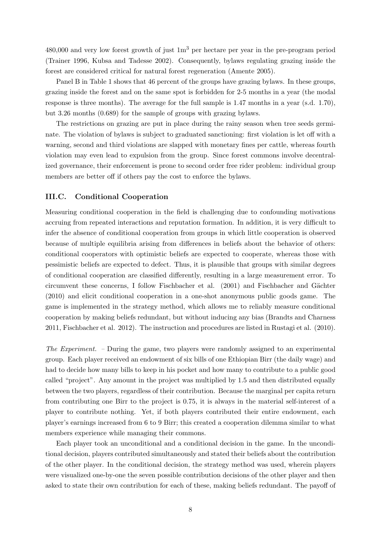$480,000$  and very low forest growth of just  $1m<sup>3</sup>$  per hectare per year in the pre-program period (Trainer 1996, Kubsa and Tadesse 2002). Consequently, bylaws regulating grazing inside the forest are considered critical for natural forest regeneration (Amente 2005).

Panel B in Table 1 shows that 46 percent of the groups have grazing bylaws. In these groups, grazing inside the forest and on the same spot is forbidden for 2-5 months in a year (the modal response is three months). The average for the full sample is 1.47 months in a year (s.d. 1.70), but 3.26 months (0.689) for the sample of groups with grazing bylaws.

The restrictions on grazing are put in place during the rainy season when tree seeds germinate. The violation of bylaws is subject to graduated sanctioning: first violation is let off with a warning, second and third violations are slapped with monetary fines per cattle, whereas fourth violation may even lead to expulsion from the group. Since forest commons involve decentralized governance, their enforcement is prone to second order free rider problem: individual group members are better off if others pay the cost to enforce the bylaws.

### III.C. Conditional Cooperation

Measuring conditional cooperation in the field is challenging due to confounding motivations accruing from repeated interactions and reputation formation. In addition, it is very difficult to infer the absence of conditional cooperation from groups in which little cooperation is observed because of multiple equilibria arising from differences in beliefs about the behavior of others: conditional cooperators with optimistic beliefs are expected to cooperate, whereas those with pessimistic beliefs are expected to defect. Thus, it is plausible that groups with similar degrees of conditional cooperation are classified differently, resulting in a large measurement error. To circumvent these concerns, I follow Fischbacher et al. (2001) and Fischbacher and Gächter (2010) and elicit conditional cooperation in a one-shot anonymous public goods game. The game is implemented in the strategy method, which allows me to reliably measure conditional cooperation by making beliefs redundant, but without inducing any bias (Brandts and Charness 2011, Fischbacher et al. 2012). The instruction and procedures are listed in Rustagi et al. (2010).

The Experiment. – During the game, two players were randomly assigned to an experimental group. Each player received an endowment of six bills of one Ethiopian Birr (the daily wage) and had to decide how many bills to keep in his pocket and how many to contribute to a public good called "project". Any amount in the project was multiplied by 1.5 and then distributed equally between the two players, regardless of their contribution. Because the marginal per capita return from contributing one Birr to the project is 0.75, it is always in the material self-interest of a player to contribute nothing. Yet, if both players contributed their entire endowment, each player's earnings increased from 6 to 9 Birr; this created a cooperation dilemma similar to what members experience while managing their commons.

Each player took an unconditional and a conditional decision in the game. In the unconditional decision, players contributed simultaneously and stated their beliefs about the contribution of the other player. In the conditional decision, the strategy method was used, wherein players were visualized one-by-one the seven possible contribution decisions of the other player and then asked to state their own contribution for each of these, making beliefs redundant. The payoff of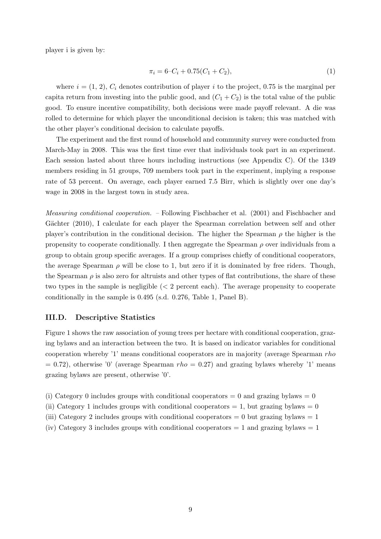player i is given by:

$$
\pi_i = 6 - C_i + 0.75(C_1 + C_2),\tag{1}
$$

where  $i = (1, 2), C_i$  denotes contribution of player i to the project, 0.75 is the marginal per capita return from investing into the public good, and  $(C_1 + C_2)$  is the total value of the public good. To ensure incentive compatibility, both decisions were made payoff relevant. A die was rolled to determine for which player the unconditional decision is taken; this was matched with the other player's conditional decision to calculate payoffs.

The experiment and the first round of household and community survey were conducted from March-May in 2008. This was the first time ever that individuals took part in an experiment. Each session lasted about three hours including instructions (see Appendix C). Of the 1349 members residing in 51 groups, 709 members took part in the experiment, implying a response rate of 53 percent. On average, each player earned 7.5 Birr, which is slightly over one day's wage in 2008 in the largest town in study area.

Measuring conditional cooperation. – Following Fischbacher et al. (2001) and Fischbacher and Gächter (2010), I calculate for each player the Spearman correlation between self and other player's contribution in the conditional decision. The higher the Spearman  $\rho$  the higher is the propensity to cooperate conditionally. I then aggregate the Spearman  $\rho$  over individuals from a group to obtain group specific averages. If a group comprises chiefly of conditional cooperators, the average Spearman  $\rho$  will be close to 1, but zero if it is dominated by free riders. Though, the Spearman  $\rho$  is also zero for altruists and other types of flat contributions, the share of these two types in the sample is negligible  $\langle \langle 2 \rangle$  percent each). The average propensity to cooperate conditionally in the sample is 0.495 (s.d. 0.276, Table 1, Panel B).

#### III.D. Descriptive Statistics

Figure 1 shows the raw association of young trees per hectare with conditional cooperation, grazing bylaws and an interaction between the two. It is based on indicator variables for conditional cooperation whereby '1' means conditional cooperators are in majority (average Spearman rho  $= 0.72$ ), otherwise '0' (average Spearman rho  $= 0.27$ ) and grazing bylaws whereby '1' means grazing bylaws are present, otherwise '0'.

- (i) Category 0 includes groups with conditional cooperators  $= 0$  and grazing bylaws  $= 0$
- (ii) Category 1 includes groups with conditional cooperators  $= 1$ , but grazing bylaws  $= 0$
- (iii) Category 2 includes groups with conditional cooperators  $= 0$  but grazing bylaws  $= 1$
- (iv) Category 3 includes groups with conditional cooperators  $= 1$  and grazing bylaws  $= 1$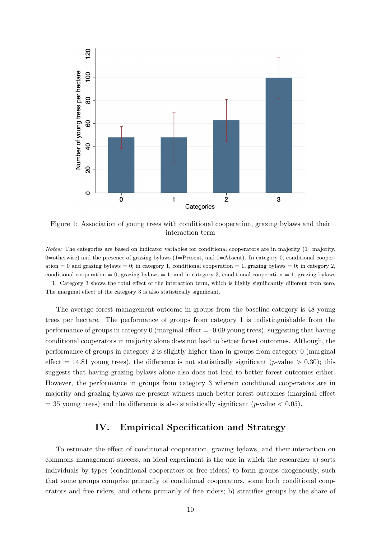

Figure 1: Association of young trees with conditional cooperation, grazing bylaws and their interaction term

Notes: The categories are based on indicator variables for conditional cooperators are in majority (1=majority, 0=otherwise) and the presence of grazing bylaws (1=Present, and 0=Absent). In category 0, conditional cooperation  $= 0$  and grazing bylaws  $= 0$ ; in category 1, conditional cooperation  $= 1$ , grazing bylaws  $= 0$ ; in category 2, conditional cooperation  $= 0$ , grazing bylaws  $= 1$ ; and in category 3, conditional cooperation  $= 1$ , grazing bylaws  $= 1$ . Category 3 shows the total effect of the interaction term, which is highly significantly different from zero. The marginal effect of the category 3 is also statistically significant.

The average forest management outcome in groups from the baseline category is 48 young trees per hectare. The performance of groups from category 1 is indistinguishable from the performance of groups in category 0 (marginal effect  $=$  -0.09 young trees), suggesting that having conditional cooperators in majority alone does not lead to better forest outcomes. Although, the performance of groups in category 2 is slightly higher than in groups from category 0 (marginal effect = 14.81 young trees), the difference is not statistically significant (p-value > 0.30); this suggests that having grazing bylaws alone also does not lead to better forest outcomes either. However, the performance in groups from category 3 wherein conditional cooperators are in majority and grazing bylaws are present witness much better forest outcomes (marginal effect  $=$  35 young trees) and the difference is also statistically significant (p-value  $<$  0.05).

# IV. Empirical Specification and Strategy

To estimate the effect of conditional cooperation, grazing bylaws, and their interaction on commons management success, an ideal experiment is the one in which the researcher a) sorts individuals by types (conditional cooperators or free riders) to form groups exogenously, such that some groups comprise primarily of conditional cooperators, some both conditional cooperators and free riders, and others primarily of free riders; b) stratifies groups by the share of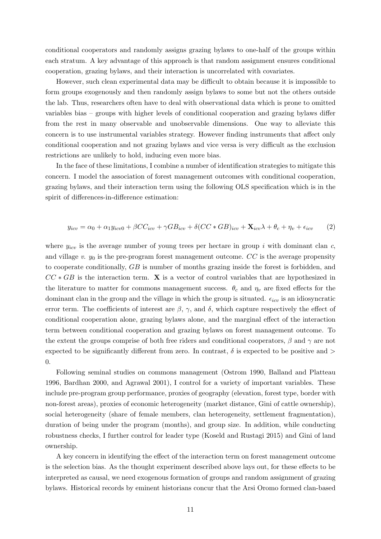conditional cooperators and randomly assigns grazing bylaws to one-half of the groups within each stratum. A key advantage of this approach is that random assignment ensures conditional cooperation, grazing bylaws, and their interaction is uncorrelated with covariates.

However, such clean experimental data may be difficult to obtain because it is impossible to form groups exogenously and then randomly assign bylaws to some but not the others outside the lab. Thus, researchers often have to deal with observational data which is prone to omitted variables bias – groups with higher levels of conditional cooperation and grazing bylaws differ from the rest in many observable and unobservable dimensions. One way to alleviate this concern is to use instrumental variables strategy. However finding instruments that affect only conditional cooperation and not grazing bylaws and vice versa is very difficult as the exclusion restrictions are unlikely to hold, inducing even more bias.

In the face of these limitations, I combine a number of identification strategies to mitigate this concern. I model the association of forest management outcomes with conditional cooperation, grazing bylaws, and their interaction term using the following OLS specification which is in the spirit of differences-in-difference estimation:

$$
y_{icv} = \alpha_0 + \alpha_1 y_{icv0} + \beta CC_{icv} + \gamma GB_{icv} + \delta(CC*GB)_{icv} + \mathbf{X}_{icv}\lambda + \theta_c + \eta_v + \epsilon_{icv} \tag{2}
$$

where  $y_{icv}$  is the average number of young trees per hectare in group i with dominant clan c, and village v.  $y_0$  is the pre-program forest management outcome. CC is the average propensity to cooperate conditionally, GB is number of months grazing inside the forest is forbidden, and  $CC * GB$  is the interaction term. **X** is a vector of control variables that are hypothesized in the literature to matter for commons management success.  $\theta_c$  and  $\eta_v$  are fixed effects for the dominant clan in the group and the village in which the group is situated.  $\epsilon_{icv}$  is an idiosyncratic error term. The coefficients of interest are  $\beta$ ,  $\gamma$ , and  $\delta$ , which capture respectively the effect of conditional cooperation alone, grazing bylaws alone, and the marginal effect of the interaction term between conditional cooperation and grazing bylaws on forest management outcome. To the extent the groups comprise of both free riders and conditional cooperators,  $\beta$  and  $\gamma$  are not expected to be significantly different from zero. In contrast,  $\delta$  is expected to be positive and  $\delta$ 0.

Following seminal studies on commons management (Ostrom 1990, Balland and Platteau 1996, Bardhan 2000, and Agrawal 2001), I control for a variety of important variables. These include pre-program group performance, proxies of geography (elevation, forest type, border with non-forest areas), proxies of economic heterogeneity (market distance, Gini of cattle ownership), social heterogeneity (share of female members, clan heterogeneity, settlement fragmentation), duration of being under the program (months), and group size. In addition, while conducting robustness checks, I further control for leader type (Koseld and Rustagi 2015) and Gini of land ownership.

A key concern in identifying the effect of the interaction term on forest management outcome is the selection bias. As the thought experiment described above lays out, for these effects to be interpreted as causal, we need exogenous formation of groups and random assignment of grazing bylaws. Historical records by eminent historians concur that the Arsi Oromo formed clan-based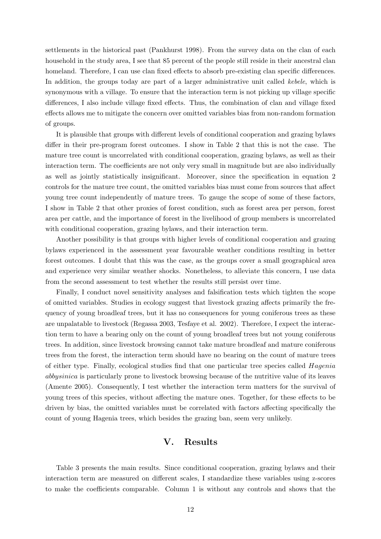settlements in the historical past (Pankhurst 1998). From the survey data on the clan of each household in the study area, I see that 85 percent of the people still reside in their ancestral clan homeland. Therefore, I can use clan fixed effects to absorb pre-existing clan specific differences. In addition, the groups today are part of a larger administrative unit called kebele, which is synonymous with a village. To ensure that the interaction term is not picking up village specific differences, I also include village fixed effects. Thus, the combination of clan and village fixed effects allows me to mitigate the concern over omitted variables bias from non-random formation of groups.

It is plausible that groups with different levels of conditional cooperation and grazing bylaws differ in their pre-program forest outcomes. I show in Table 2 that this is not the case. The mature tree count is uncorrelated with conditional cooperation, grazing bylaws, as well as their interaction term. The coefficients are not only very small in magnitude but are also individually as well as jointly statistically insignificant. Moreover, since the specification in equation 2 controls for the mature tree count, the omitted variables bias must come from sources that affect young tree count independently of mature trees. To gauge the scope of some of these factors, I show in Table 2 that other proxies of forest condition, such as forest area per person, forest area per cattle, and the importance of forest in the livelihood of group members is uncorrelated with conditional cooperation, grazing bylaws, and their interaction term.

Another possibility is that groups with higher levels of conditional cooperation and grazing bylaws experienced in the assessment year favourable weather conditions resulting in better forest outcomes. I doubt that this was the case, as the groups cover a small geographical area and experience very similar weather shocks. Nonetheless, to alleviate this concern, I use data from the second assessment to test whether the results still persist over time.

Finally, I conduct novel sensitivity analyses and falsification tests which tighten the scope of omitted variables. Studies in ecology suggest that livestock grazing affects primarily the frequency of young broadleaf trees, but it has no consequences for young coniferous trees as these are unpalatable to livestock (Regassa 2003, Tesfaye et al. 2002). Therefore, I expect the interaction term to have a bearing only on the count of young broadleaf trees but not young coniferous trees. In addition, since livestock browsing cannot take mature broadleaf and mature coniferous trees from the forest, the interaction term should have no bearing on the count of mature trees of either type. Finally, ecological studies find that one particular tree species called Hagenia abbysinica is particularly prone to livestock browsing because of the nutritive value of its leaves (Amente 2005). Consequently, I test whether the interaction term matters for the survival of young trees of this species, without affecting the mature ones. Together, for these effects to be driven by bias, the omitted variables must be correlated with factors affecting specifically the count of young Hagenia trees, which besides the grazing ban, seem very unlikely.

# V. Results

Table 3 presents the main results. Since conditional cooperation, grazing bylaws and their interaction term are measured on different scales, I standardize these variables using z-scores to make the coefficients comparable. Column 1 is without any controls and shows that the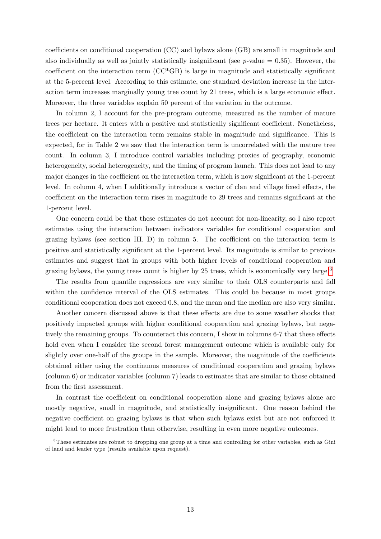coefficients on conditional cooperation (CC) and bylaws alone (GB) are small in magnitude and also individually as well as jointly statistically insignificant (see p-value  $= 0.35$ ). However, the coefficient on the interaction term (CC\*GB) is large in magnitude and statistically significant at the 5-percent level. According to this estimate, one standard deviation increase in the interaction term increases marginally young tree count by 21 trees, which is a large economic effect. Moreover, the three variables explain 50 percent of the variation in the outcome.

In column 2, I account for the pre-program outcome, measured as the number of mature trees per hectare. It enters with a positive and statistically significant coefficient. Nonetheless, the coefficient on the interaction term remains stable in magnitude and significance. This is expected, for in Table 2 we saw that the interaction term is uncorrelated with the mature tree count. In column 3, I introduce control variables including proxies of geography, economic heterogeneity, social heterogeneity, and the timing of program launch. This does not lead to any major changes in the coefficient on the interaction term, which is now significant at the 1-percent level. In column 4, when I additionally introduce a vector of clan and village fixed effects, the coefficient on the interaction term rises in magnitude to 29 trees and remains significant at the 1-percent level.

One concern could be that these estimates do not account for non-linearity, so I also report estimates using the interaction between indicators variables for conditional cooperation and grazing bylaws (see section III. D) in column 5. The coefficient on the interaction term is positive and statistically significant at the 1-percent level. Its magnitude is similar to previous estimates and suggest that in groups with both higher levels of conditional cooperation and grazing by all steps the young trees count is higher by 25 trees, which is economically very large.<sup>[3](#page-12-0)</sup>

The results from quantile regressions are very similar to their OLS counterparts and fall within the confidence interval of the OLS estimates. This could be because in most groups conditional cooperation does not exceed 0.8, and the mean and the median are also very similar.

Another concern discussed above is that these effects are due to some weather shocks that positively impacted groups with higher conditional cooperation and grazing bylaws, but negatively the remaining groups. To counteract this concern, I show in columns 6-7 that these effects hold even when I consider the second forest management outcome which is available only for slightly over one-half of the groups in the sample. Moreover, the magnitude of the coefficients obtained either using the continuous measures of conditional cooperation and grazing bylaws (column 6) or indicator variables (column 7) leads to estimates that are similar to those obtained from the first assessment.

In contrast the coefficient on conditional cooperation alone and grazing bylaws alone are mostly negative, small in magnitude, and statistically insignificant. One reason behind the negative coefficient on grazing bylaws is that when such bylaws exist but are not enforced it might lead to more frustration than otherwise, resulting in even more negative outcomes.

<span id="page-12-0"></span><sup>&</sup>lt;sup>3</sup>These estimates are robust to dropping one group at a time and controlling for other variables, such as Gini of land and leader type (results available upon request).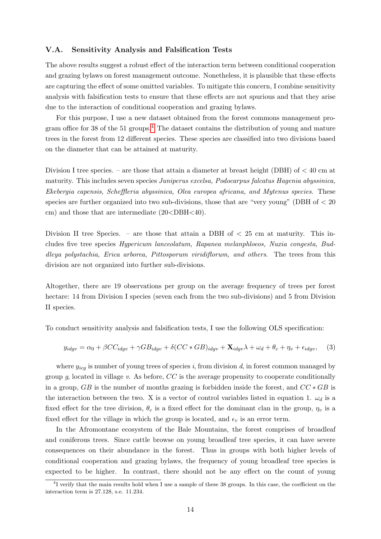### V.A. Sensitivity Analysis and Falsification Tests

The above results suggest a robust effect of the interaction term between conditional cooperation and grazing bylaws on forest management outcome. Nonetheless, it is plausible that these effects are capturing the effect of some omitted variables. To mitigate this concern, I combine sensitivity analysis with falsification tests to ensure that these effects are not spurious and that they arise due to the interaction of conditional cooperation and grazing bylaws.

For this purpose, I use a new dataset obtained from the forest commons management pro-gram office for 38 of the 51 groups.<sup>[4](#page-13-0)</sup> The dataset contains the distribution of young and mature trees in the forest from 12 different species. These species are classified into two divisions based on the diameter that can be attained at maturity.

Division I tree species. – are those that attain a diameter at breast height (DBH) of  $<$  40 cm at maturity. This includes seven species Juniperus excelsa, Podocarpus falcatus Hagenia abyssinica, Ekebergia capensis, Scheffleria abyssinica, Olea europea africana, and Mytenus species. These species are further organized into two sub-divisions, those that are "very young" (DBH of  $< 20$ ) cm) and those that are intermediate (20<DBH<40).

Division II tree Species. – are those that attain a DBH of  $\lt$  25 cm at maturity. This includes five tree species Hypericum lanceolatum, Rapanea melanphloeos, Nuxia congesta, Buddleya polystachia, Erica arborea, Pittosporum viridiflorum, and others. The trees from this division are not organized into further sub-divisions.

Altogether, there are 19 observations per group on the average frequency of trees per forest hectare: 14 from Division I species (seven each from the two sub-divisions) and 5 from Division II species.

To conduct sensitivity analysis and falsification tests, I use the following OLS specification:

$$
y_{idgv} = \alpha_0 + \beta CC_{idgv} + \gamma GB_{idgv} + \delta(CC * GB)_{idgv} + \mathbf{X}_{idgv}\lambda + \omega_d + \theta_c + \eta_v + \epsilon_{idgv}, \quad (3)
$$

where  $y_{icg}$  is number of young trees of species i, from division d, in forest common managed by group q, located in village v. As before,  $CC$  is the average propensity to cooperate conditionally in a group, GB is the number of months grazing is forbidden inside the forest, and  $CC * GB$  is the interaction between the two. X is a vector of control variables listed in equation 1.  $\omega_d$  is a fixed effect for the tree division,  $\theta_c$  is a fixed effect for the dominant clan in the group,  $\eta_v$  is a fixed effect for the village in which the group is located, and  $\epsilon_v$  is an error term.

In the Afromontane ecosystem of the Bale Mountains, the forest comprises of broadleaf and coniferous trees. Since cattle browse on young broadleaf tree species, it can have severe consequences on their abundance in the forest. Thus in groups with both higher levels of conditional cooperation and grazing bylaws, the frequency of young broadleaf tree species is expected to be higher. In contrast, there should not be any effect on the count of young

<span id="page-13-0"></span><sup>&</sup>lt;sup>4</sup>I verify that the main results hold when I use a sample of these 38 groups. In this case, the coefficient on the interaction term is 27.128, s.e. 11.234.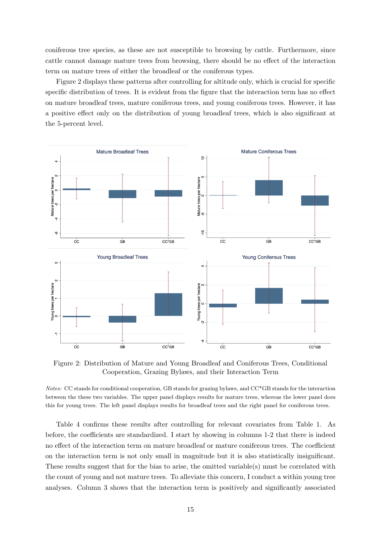coniferous tree species, as these are not susceptible to browsing by cattle. Furthermore, since cattle cannot damage mature trees from browsing, there should be no effect of the interaction term on mature trees of either the broadleaf or the coniferous types.

Figure 2 displays these patterns after controlling for altitude only, which is crucial for specific specific distribution of trees. It is evident from the figure that the interaction term has no effect on mature broadleaf trees, mature coniferous trees, and young coniferous trees. However, it has a positive effect only on the distribution of young broadleaf trees, which is also significant at the 5-percent level.



Figure 2: Distribution of Mature and Young Broadleaf and Coniferous Trees, Conditional Cooperation, Grazing Bylaws, and their Interaction Term

Notes: CC stands for conditional cooperation, GB stands for grazing bylaws, and CC\*GB stands for the interaction between the these two variables. The upper panel displays results for mature trees, whereas the lower panel does this for young trees. The left panel displays results for broadleaf trees and the right panel for coniferous trees.

Table 4 confirms these results after controlling for relevant covariates from Table 1. As before, the coefficients are standardized. I start by showing in columns 1-2 that there is indeed no effect of the interaction term on mature broadleaf or mature coniferous trees. The coefficient on the interaction term is not only small in magnitude but it is also statistically insignificant. These results suggest that for the bias to arise, the omitted variable(s) must be correlated with the count of young and not mature trees. To alleviate this concern, I conduct a within young tree analyses. Column 3 shows that the interaction term is positively and significantly associated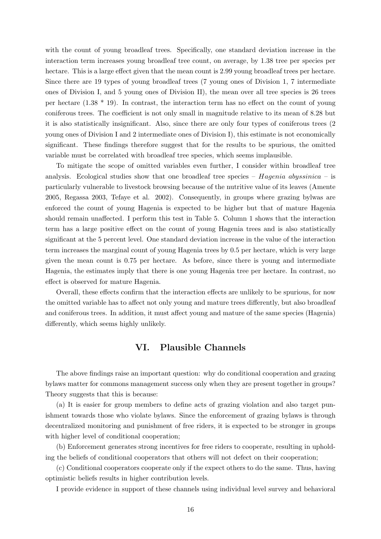with the count of young broadleaf trees. Specifically, one standard deviation increase in the interaction term increases young broadleaf tree count, on average, by 1.38 tree per species per hectare. This is a large effect given that the mean count is 2.99 young broadleaf trees per hectare. Since there are 19 types of young broadleaf trees (7 young ones of Division 1, 7 intermediate ones of Division I, and 5 young ones of Division II), the mean over all tree species is 26 trees per hectare  $(1.38 * 19)$ . In contrast, the interaction term has no effect on the count of young coniferous trees. The coefficient is not only small in magnitude relative to its mean of 8.28 but it is also statistically insignificant. Also, since there are only four types of coniferous trees (2 young ones of Division I and 2 intermediate ones of Division I), this estimate is not economically significant. These findings therefore suggest that for the results to be spurious, the omitted variable must be correlated with broadleaf tree species, which seems implausible.

To mitigate the scope of omitted variables even further, I consider within broadleaf tree analysis. Ecological studies show that one broadleaf tree species –  $Hagenia\; abyssinica$  – is particularly vulnerable to livestock browsing because of the nutritive value of its leaves (Amente 2005, Regassa 2003, Tefaye et al. 2002). Consequently, in groups where grazing bylwas are enforced the count of young Hagenia is expected to be higher but that of mature Hagenia should remain unaffected. I perform this test in Table 5. Column 1 shows that the interaction term has a large positive effect on the count of young Hagenia trees and is also statistically significant at the 5 percent level. One standard deviation increase in the value of the interaction term increases the marginal count of young Hagenia trees by 0.5 per hectare, which is very large given the mean count is 0.75 per hectare. As before, since there is young and intermediate Hagenia, the estimates imply that there is one young Hagenia tree per hectare. In contrast, no effect is observed for mature Hagenia.

Overall, these effects confirm that the interaction effects are unlikely to be spurious, for now the omitted variable has to affect not only young and mature trees differently, but also broadleaf and coniferous trees. In addition, it must affect young and mature of the same species (Hagenia) differently, which seems highly unlikely.

# VI. Plausible Channels

The above findings raise an important question: why do conditional cooperation and grazing bylaws matter for commons management success only when they are present together in groups? Theory suggests that this is because:

(a) It is easier for group members to define acts of grazing violation and also target punishment towards those who violate bylaws. Since the enforcement of grazing bylaws is through decentralized monitoring and punishment of free riders, it is expected to be stronger in groups with higher level of conditional cooperation;

(b) Enforcement generates strong incentives for free riders to cooperate, resulting in upholding the beliefs of conditional cooperators that others will not defect on their cooperation;

(c) Conditional cooperators cooperate only if the expect others to do the same. Thus, having optimistic beliefs results in higher contribution levels.

I provide evidence in support of these channels using individual level survey and behavioral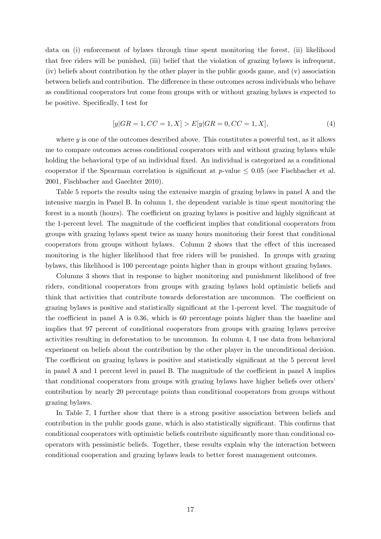data on (i) enforcement of bylaws through time spent monitoring the forest, (ii) likelihood that free riders will be punished, (iii) belief that the violation of grazing bylaws is infrequent, (iv) beliefs about contribution by the other player in the public goods game, and (v) association between beliefs and contribution. The difference in these outcomes across individuals who behave as conditional cooperators but come from groups with or without grazing bylaws is expected to be positive. Specifically, I test for

$$
[y|GR = 1, CC = 1, X] > E[y|GR = 0, CC = 1, X],
$$
\n(4)

where  $y$  is one of the outcomes described above. This constitutes a powerful test, as it allows me to compare outcomes across conditional cooperators with and without grazing bylaws while holding the behavioral type of an individual fixed. An individual is categorized as a conditional cooperator if the Spearman correlation is significant at  $p$ -value  $\leq 0.05$  (see Fischbacher et al. 2001, Fischbacher and Gaechter 2010).

Table 5 reports the results using the extensive margin of grazing bylaws in panel A and the intensive margin in Panel B. In column 1, the dependent variable is time spent monitoring the forest in a month (hours). The coefficient on grazing bylaws is positive and highly significant at the 1-percent level. The magnitude of the coefficient implies that conditional cooperators from groups with grazing bylaws spent twice as many hours monitoring their forest that conditional cooperators from groups without bylaws. Column 2 shows that the effect of this increased monitoring is the higher likelihood that free riders will be punished. In groups with grazing bylaws, this likelihood is 100 percentage points higher than in groups without grazing bylaws.

Columns 3 shows that in response to higher monitoring and punishment likelihood of free riders, conditional cooperators from groups with grazing bylaws hold optimistic beliefs and think that activities that contribute towards deforestation are uncommon. The coefficient on grazing bylaws is positive and statistically significant at the 1-percent level. The magnitude of the coefficient in panel A is 0.36, which is 60 percentage points higher than the baseline and implies that 97 percent of conditional cooperators from groups with grazing bylaws perceive activities resulting in deforestation to be uncommon. In column 4, I use data from behavioral experiment on beliefs about the contribution by the other player in the unconditional decision. The coefficient on grazing bylaws is positive and statistically significant at the 5 percent level in panel A and 1 percent level in panel B. The magnitude of the coefficient in panel A implies that conditional cooperators from groups with grazing bylaws have higher beliefs over others' contribution by nearly 20 percentage points than conditional cooperators from groups without grazing bylaws.

In Table 7, I further show that there is a strong positive association between beliefs and contribution in the public goods game, which is also statistically significant. This confirms that conditional cooperators with optimistic beliefs contribute significantly more than conditional cooperators with pessimistic beliefs. Together, these results explain why the interaction between conditional cooperation and grazing bylaws leads to better forest management outcomes.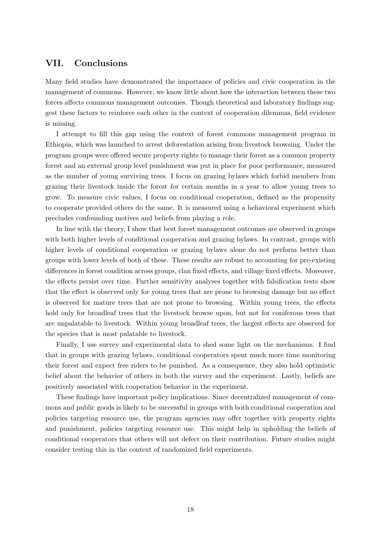# VII. Conclusions

Many field studies have demonstrated the importance of policies and civic cooperation in the management of commons. However, we know little about how the interaction between these two forces affects commons management outcomes. Though theoretical and laboratory findings suggest these factors to reinforce each other in the context of cooperation dilemmas, field evidence is missing.

I attempt to fill this gap using the context of forest commons management program in Ethiopia, which was launched to arrest deforestation arising from livestock browsing. Under the program groups were offered secure property rights to manage their forest as a common property forest and an external group level punishment was put in place for poor performance, measured as the number of young surviving trees. I focus on grazing bylaws which forbid members from grazing their livestock inside the forest for certain months in a year to allow young trees to grow. To measure civic values, I focus on conditional cooperation, defined as the propensity to cooperate provided others do the same. It is measured using a behavioral experiment which precludes confounding motives and beliefs from playing a role.

In line with the theory, I show that best forest management outcomes are observed in groups with both higher levels of conditional cooperation and grazing bylaws. In contrast, groups with higher levels of conditional cooperation or grazing bylaws alone do not perform better than groups with lower levels of both of these. These results are robust to accounting for pre-existing differences in forest condition across groups, clan fixed effects, and village fixed effects. Moreover, the effects persist over time. Further sensitivity analyses together with falsification tests show that the effect is observed only for young trees that are prone to browsing damage but no effect is observed for mature trees that are not prone to browsing. Within young trees, the effects hold only for broadleaf trees that the livestock browse upon, but not for coniferous trees that are unpalatable to livestock. Within young broadleaf trees, the largest effects are observed for the species that is most palatable to livestock.

Finally, I use survey and experimental data to shed some light on the mechanisms. I find that in groups with grazing bylaws, conditional cooperators spent much more time monitoring their forest and expect free riders to be punished. As a consequence, they also hold optimistic belief about the behavior of others in both the survey and the experiment. Lastly, beliefs are positively associated with cooperation behavior in the experiment.

These findings have important policy implications. Since decentralized management of commons and public goods is likely to be successful in groups with both conditional cooperation and policies targeting resource use, the program agencies may offer together with property rights and punishment, policies targeting resource use. This might help in upholding the beliefs of conditional cooperators that others will not defect on their contribution. Future studies might consider testing this in the context of randomized field experiments.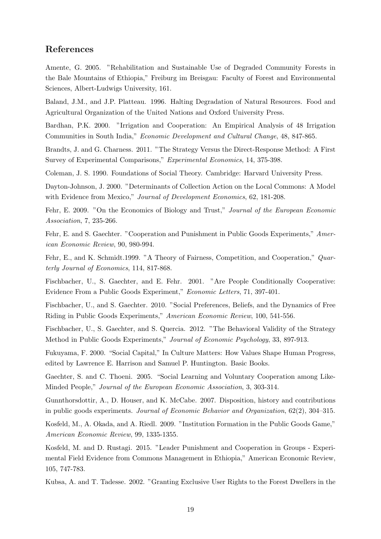### References

Amente, G. 2005. "Rehabilitation and Sustainable Use of Degraded Community Forests in the Bale Mountains of Ethiopia," Freiburg im Breisgau: Faculty of Forest and Environmental Sciences, Albert-Ludwigs University, 161.

Baland, J.M., and J.P. Platteau. 1996. Halting Degradation of Natural Resources. Food and Agricultural Organization of the United Nations and Oxford University Press.

Bardhan, P.K. 2000. "Irrigation and Cooperation: An Empirical Analysis of 48 Irrigation Communities in South India," Economic Development and Cultural Change, 48, 847-865.

Brandts, J. and G. Charness. 2011. "The Strategy Versus the Direct-Response Method: A First Survey of Experimental Comparisons," Experimental Economics, 14, 375-398.

Coleman, J. S. 1990. Foundations of Social Theory. Cambridge: Harvard University Press.

Dayton-Johnson, J. 2000. "Determinants of Collection Action on the Local Commons: A Model with Evidence from Mexico," Journal of Development Economics, 62, 181-208.

Fehr, E. 2009. "On the Economics of Biology and Trust," Journal of the European Economic Association, 7, 235-266.

Fehr, E. and S. Gaechter. "Cooperation and Punishment in Public Goods Experiments," American Economic Review, 90, 980-994.

Fehr, E., and K. Schmidt.1999. "A Theory of Fairness, Competition, and Cooperation," Quarterly Journal of Economics, 114, 817-868.

Fischbacher, U., S. Gaechter, and E. Fehr. 2001. "Are People Conditionally Cooperative: Evidence From a Public Goods Experiment," Economic Letters, 71, 397-401.

Fischbacher, U., and S. Gaechter. 2010. "Social Preferences, Beliefs, and the Dynamics of Free Riding in Public Goods Experiments," American Economic Review, 100, 541-556.

Fischbacher, U., S. Gaechter, and S. Quercia. 2012. "The Behavioral Validity of the Strategy Method in Public Goods Experiments," Journal of Economic Psychology, 33, 897-913.

Fukuyama, F. 2000. "Social Capital," In Culture Matters: How Values Shape Human Progress, edited by Lawrence E. Harrison and Samuel P. Huntington. Basic Books.

Gaechter, S. and C. Thoeni. 2005. "Social Learning and Voluntary Cooperation among Like-Minded People," Journal of the European Economic Association, 3, 303-314.

Gunnthorsdottir, A., D. Houser, and K. McCabe. 2007. Disposition, history and contributions in public goods experiments. Journal of Economic Behavior and Organization, 62(2), 304–315.

Kosfeld, M., A. Okada, and A. Riedl. 2009. "Institution Formation in the Public Goods Game," American Economic Review, 99, 1335-1355.

Kosfeld, M. and D. Rustagi. 2015. "Leader Punishment and Cooperation in Groups - Experimental Field Evidence from Commons Management in Ethiopia," American Economic Review, 105, 747-783.

Kubsa, A. and T. Tadesse. 2002. "Granting Exclusive User Rights to the Forest Dwellers in the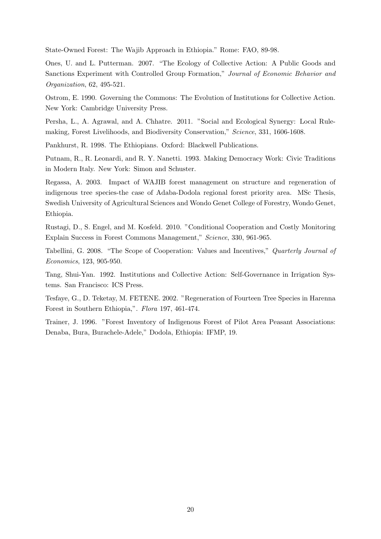State-Owned Forest: The Wajib Approach in Ethiopia." Rome: FAO, 89-98.

Ones, U. and L. Putterman. 2007. "The Ecology of Collective Action: A Public Goods and Sanctions Experiment with Controlled Group Formation," Journal of Economic Behavior and Organization, 62, 495-521.

Ostrom, E. 1990. Governing the Commons: The Evolution of Institutions for Collective Action. New York: Cambridge University Press.

Persha, L., A. Agrawal, and A. Chhatre. 2011. "Social and Ecological Synergy: Local Rulemaking, Forest Livelihoods, and Biodiversity Conservation," Science, 331, 1606-1608.

Pankhurst, R. 1998. The Ethiopians. Oxford: Blackwell Publications.

Putnam, R., R. Leonardi, and R. Y. Nanetti. 1993. Making Democracy Work: Civic Traditions in Modern Italy. New York: Simon and Schuster.

Regassa, A. 2003. Impact of WAJIB forest management on structure and regeneration of indigenous tree species-the case of Adaba-Dodola regional forest priority area. MSc Thesis, Swedish University of Agricultural Sciences and Wondo Genet College of Forestry, Wondo Genet, Ethiopia.

Rustagi, D., S. Engel, and M. Kosfeld. 2010. "Conditional Cooperation and Costly Monitoring Explain Success in Forest Commons Management," Science, 330, 961-965.

Tabellini, G. 2008. "The Scope of Cooperation: Values and Incentives," Quarterly Journal of Economics, 123, 905-950.

Tang, Shui-Yan. 1992. Institutions and Collective Action: Self-Governance in Irrigation Systems. San Francisco: ICS Press.

Tesfaye, G., D. Teketay, M. FETENE. 2002. "Regeneration of Fourteen Tree Species in Harenna Forest in Southern Ethiopia,". Flora 197, 461-474.

Trainer, J. 1996. "Forest Inventory of Indigenous Forest of Pilot Area Peasant Associations: Denaba, Bura, Burachele-Adele," Dodola, Ethiopia: IFMP, 19.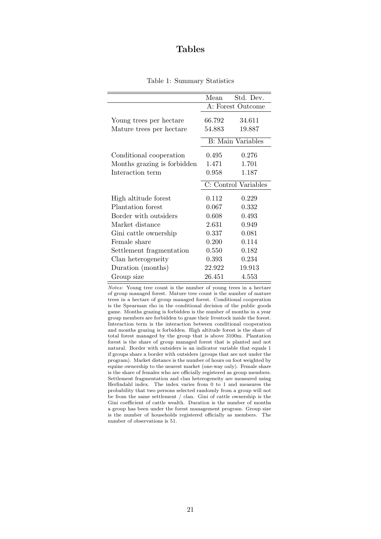# Tables

|                             | Mean                 | Std. Dev.                 |
|-----------------------------|----------------------|---------------------------|
|                             |                      |                           |
|                             |                      | A: Forest Outcome         |
| Young trees per hectare     | 66.792               | 34.611                    |
| Mature trees per hectare    | 54.883               | 19.887                    |
|                             |                      | <b>B</b> : Main Variables |
| Conditional cooperation     | 0.495                | 0.276                     |
| Months grazing is forbidden | 1.471                | 1.701                     |
| Interaction term            | 0.958                | 1.187                     |
|                             | C: Control Variables |                           |
| High altitude forest        | 0.112                | 0.229                     |
| Plantation forest           | 0.067                | 0.332                     |
| Border with outsiders       | 0.608                | 0.493                     |
| Market distance             | 2.631                | 0.949                     |
| Gini cattle ownership       | 0.337                | 0.081                     |
| Female share                | 0.200                | 0.114                     |
| Settlement fragmentation    | 0.550                | 0.182                     |
| Clan heterogeneity          | 0.393                | 0.234                     |
| Duration (months)           | 22.922               | 19.913                    |
| Group size                  | 26.451               | 4.553                     |

|  | Table 1: Summary Statistics |  |
|--|-----------------------------|--|
|--|-----------------------------|--|

Notes: Young tree count is the number of young trees in a hectare of group managed forest. Mature tree count is the number of mature trees in a hectare of group managed forest. Conditional cooperation is the Spearman rho in the conditional decision of the public goods game. Months grazing is forbidden is the number of months in a year group members are forbidden to graze their livestock inside the forest. Interaction term is the interaction between conditional cooperation and months grazing is forbidden. High altitude forest is the share of total forest managed by the group that is above 3100m. Plantation forest is the share of group managed forest that is planted and not natural. Border with outsiders is an indicator variable that equals 1 if groups share a border with outsiders (groups that are not under the program). Market distance is the number of hours on foot weighted by equine ownership to the nearest market (one-way only). Female share is the share of females who are officially registered as group members. Settlement fragmentation and clan heterogeneity are measured using Herfindahl index. The index varies from 0 to 1 and measures the probability that two persons selected randomly from a group will not be from the same settlement / clan. Gini of cattle ownership is the Gini coefficient of cattle wealth. Duration is the number of months a group has been under the forest management program. Group size is the number of households registered officially as members. The number of observations is 51.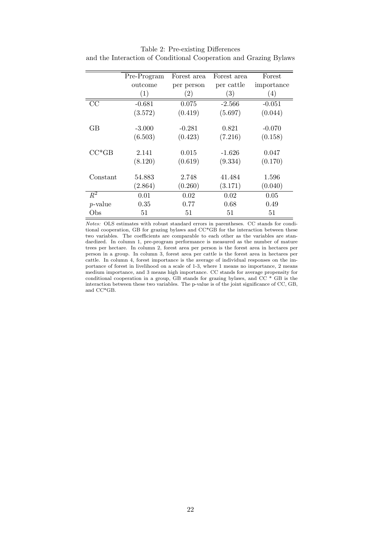|            | Pre-Program | Forest area       | Forest area       | Forest     |
|------------|-------------|-------------------|-------------------|------------|
|            | outcome     | per person        | per cattle        | importance |
|            | (1)         | $\left( 2\right)$ | $\left( 3\right)$ | (4)        |
| CC         | $-0.681$    | 0.075             | $-2.566$          | $-0.051$   |
|            | (3.572)     | (0.419)           | (5.697)           | (0.044)    |
| GВ         | $-3.000$    | $-0.281$          | 0.821             | $-0.070$   |
|            | (6.503)     | (0.423)           | (7.216)           | (0.158)    |
| $CC*GB$    | 2.141       | 0.015             | $-1.626$          | 0.047      |
|            | (8.120)     | (0.619)           | (9.334)           | (0.170)    |
| Constant   | 54.883      | 2.748             | 41.484            | 1.596      |
|            | (2.864)     | (0.260)           | (3.171)           | (0.040)    |
| $R^2$      | 0.01        | 0.02              | 0.02              | 0.05       |
| $p$ -value | 0.35        | 0.77              | 0.68              | 0.49       |
| Obs        | 51          | 51                | 51                | 51         |

Table 2: Pre-existing Differences and the Interaction of Conditional Cooperation and Grazing Bylaws

Notes: OLS estimates with robust standard errors in parentheses. CC stands for conditional cooperation, GB for grazing bylaws and CC\*GB for the interaction between these two variables. The coefficients are comparable to each other as the variables are standardized. In column 1, pre-program performance is measured as the number of mature trees per hectare. In column 2, forest area per person is the forest area in hectares per person in a group. In column 3, forest area per cattle is the forest area in hectares per cattle. In column 4, forest importance is the average of individual responses on the importance of forest in livelihood on a scale of 1-3, where 1 means no importance, 2 means medium importance, and 3 means high importance. CC stands for average propensity for conditional cooperation in a group, GB stands for grazing bylaws, and CC \* GB is the interaction between these two variables. The p-value is of the joint significance of CC, GB, and CC\*GB.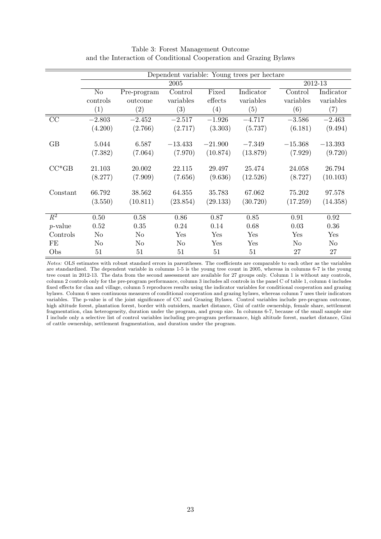| Dependent variable: Young trees per hectare |                |                   |           |           |           |                |                   |
|---------------------------------------------|----------------|-------------------|-----------|-----------|-----------|----------------|-------------------|
|                                             | 2005           |                   |           |           |           | 2012-13        |                   |
|                                             | $\rm No$       | Pre-program       | Control   | Fixed     | Indicator | Control        | Indicator         |
|                                             | controls       | outcome           | variables | effects   | variables | variables      | variables         |
|                                             | (1)            | $\left( 2\right)$ | (3)       | (4)       | (5)       | (6)            | $\left( 7\right)$ |
| CC                                          | $-2.803$       | $-2.452$          | $-2.517$  | $-1.926$  | $-4.717$  | $-3.586$       | $-2.463$          |
|                                             | (4.200)        | (2.766)           | (2.717)   | (3.303)   | (5.737)   | (6.181)        | (9.494)           |
| GB                                          | 5.044          | 6.587             | $-13.433$ | $-21.900$ | $-7.349$  | $-15.368$      | $-13.393$         |
|                                             | (7.382)        | (7.064)           | (7.970)   | (10.874)  | (13.879)  | (7.929)        | (9.720)           |
| $CC*GB$                                     | 21.103         | 20.002            | 22.115    | 29.497    | 25.474    | 24.058         | 26.794            |
|                                             | (8.277)        | (7.909)           | (7.656)   | (9.636)   | (12.526)  | (8.727)        | (10.103)          |
| Constant                                    | 66.792         | 38.562            | 64.355    | 35.783    | 67.062    | 75.202         | 97.578            |
|                                             | (3.550)        | (10.811)          | (23.854)  | (29.133)  | (30.720)  | (17.259)       | (14.358)          |
| $\mathbb{R}^2$                              | 0.50           | 0.58              | 0.86      | 0.87      | 0.85      | 0.91           | 0.92              |
| $p$ -value                                  | 0.52           | 0.35              | 0.24      | 0.14      | 0.68      | 0.03           | 0.36              |
| Controls                                    | N <sub>o</sub> | $\rm No$          | Yes       | Yes       | Yes       | Yes            | Yes               |
| FE                                          | No             | No                | No        | Yes       | Yes       | N <sub>o</sub> | N <sub>o</sub>    |
| Obs                                         | 51             | 51                | 51        | 51        | 51        | 27             | 27                |

### Table 3: Forest Management Outcome and the Interaction of Conditional Cooperation and Grazing Bylaws

Notes: OLS estimates with robust standard errors in parentheses. The coefficients are comparable to each other as the variables are standardized. The dependent variable in columns 1-5 is the young tree count in 2005, whereas in columns 6-7 is the young tree count in 2012-13. The data from the second assessment are available for 27 groups only. Column 1 is without any controls, column 2 controls only for the pre-program performance, column 3 includes all controls in the panel C of table 1, column 4 includes fixed effects for clan and village, column 5 reproduces results using the indicator variables for conditional cooperation and grazing bylaws. Column 6 uses continuous measures of conditional cooperation and grazing bylaws, whereas column 7 uses their indicators variables. The p-value is of the joint significance of CC and Grazing Bylaws. Control variables include pre-program outcome, high altitude forest, plantation forest, border with outsiders, market distance, Gini of cattle ownership, female share, settlement fragmentation, clan heterogeneity, duration under the program, and group size. In columns 6-7, because of the small sample size I include only a selective list of control variables including pre-program performance, high altitude forest, market distance, Gini of cattle ownership, settlement fragmentation, and duration under the program.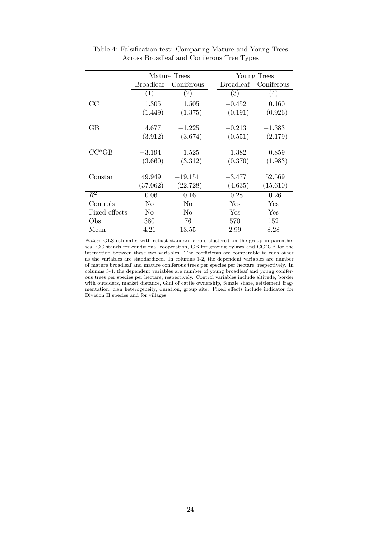|                  | Mature Trees     |                   |  | Young Trees       |                  |  |
|------------------|------------------|-------------------|--|-------------------|------------------|--|
|                  | <b>Broadleaf</b> | Coniferous        |  | <b>Broadleaf</b>  | Coniferous       |  |
|                  | $\left(1\right)$ | $\left( 2\right)$ |  | $\left( 3\right)$ | $\left(4\right)$ |  |
| $\rm CC$         | 1.305            | 1.505             |  | $-0.452$          | 0.160            |  |
|                  | (1.449)          | (1.375)           |  | (0.191)           | (0.926)          |  |
|                  |                  |                   |  |                   |                  |  |
| GВ               | 4.677            | $-1.225$          |  | $-0.213$          | $-1.383$         |  |
|                  | (3.912)          | (3.674)           |  | (0.551)           | (2.179)          |  |
|                  |                  |                   |  |                   |                  |  |
| $CC*GB$          | $-3.194$         | 1.525             |  | 1.382             | 0.859            |  |
|                  | (3.660)          | (3.312)           |  | (0.370)           | (1.983)          |  |
|                  |                  |                   |  |                   |                  |  |
| Constant         | 49.949           | $-19.151$         |  | $-3.477$          | 52.569           |  |
|                  | (37.062)         | (22.728)          |  | (4.635)           | (15.610)         |  |
| $\overline{R^2}$ | 0.06             | 0.16              |  | 0.28              | 0.26             |  |
| Controls         | N <sub>o</sub>   | No                |  | Yes               | Yes              |  |
| Fixed effects    | N <sub>0</sub>   | N <sub>0</sub>    |  | Yes               | Yes              |  |
| Obs              | 380              | 76                |  | 570               | 152              |  |
| Mean             | 4.21             | 13.55             |  | 2.99              | 8.28             |  |

Table 4: Falsification test: Comparing Mature and Young Trees Across Broadleaf and Coniferous Tree Types

Notes: OLS estimates with robust standard errors clustered on the group in parentheses. CC stands for conditional cooperation, GB for grazing bylaws and CC\*GB for the interaction between these two variables. The coefficients are comparable to each other as the variables are standardized. In columns 1-2, the dependent variables are number of mature broadleaf and mature coniferous trees per species per hectare, respectively. In columns 3-4, the dependent variables are number of young broadleaf and young coniferous trees per species per hectare, respectively. Control variables include altitude, border with outsiders, market distance, Gini of cattle ownership, female share, settlement fragmentation, clan heterogeneity, duration, group site. Fixed effects include indicator for Division II species and for villages.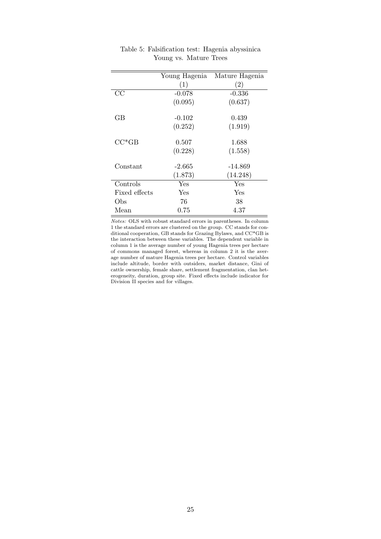|               | Young Hagenia | Mature Hagenia |
|---------------|---------------|----------------|
|               | (1)           | (2)            |
| CC            | $-0.078$      | $-0.336$       |
|               | (0.095)       | (0.637)        |
| GВ            | $-0.102$      | 0.439          |
|               | (0.252)       | (1.919)        |
| $CC^*GB$      | 0.507         | 1.688          |
|               | (0.228)       | (1.558)        |
| Constant      | $-2.665$      | -14.869        |
|               | (1.873)       | (14.248)       |
| Controls      | Yes           | Yes            |
| Fixed effects | Yes           | Yes            |
| Obs           | 76            | 38             |
| Mean          | $0.75\,$      | 4.37           |

| Table 5: Falsification test: Hagenia abyssinica |  |  |
|-------------------------------------------------|--|--|
| Young vs. Mature Trees                          |  |  |

Notes: OLS with robust standard errors in parentheses. In column 1 the standard errors are clustered on the group. CC stands for conditional cooperation, GB stands for Grazing Bylaws, and CC\*GB is the interaction between these variables. The dependent variable in column 1 is the average number of young Hagenia trees per hectare of commons managed forest, whereas in column 2 it is the average number of mature Hagenia trees per hectare. Control variables include altitude, border with outsiders, market distance, Gini of cattle ownership, female share, settlement fragmentation, clan heterogeneity, duration, group site. Fixed effects include indicator for Division II species and for villages.